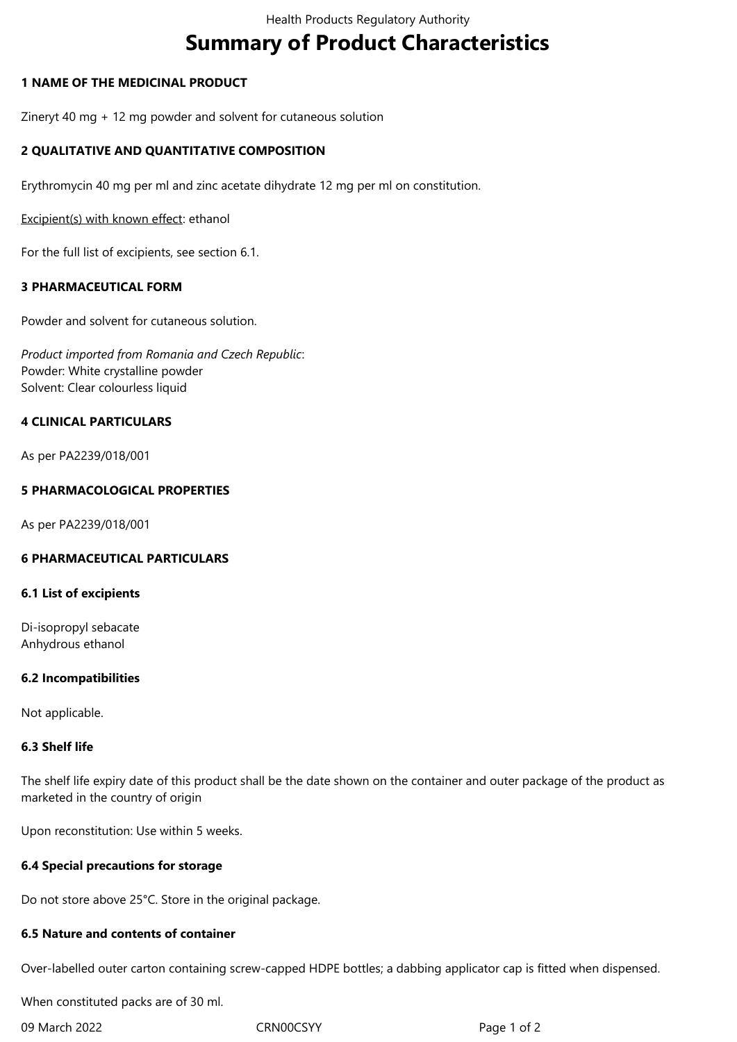# **Summary of Product Characteristics**

# **1 NAME OF THE MEDICINAL PRODUCT**

Zineryt 40 mg + 12 mg powder and solvent for cutaneous solution

# **2 QUALITATIVE AND QUANTITATIVE COMPOSITION**

Erythromycin 40 mg per ml and zinc acetate dihydrate 12 mg per ml on constitution.

Excipient(s) with known effect: ethanol

For the full list of excipients, see section 6.1.

## **3 PHARMACEUTICAL FORM**

Powder and solvent for cutaneous solution.

*Product imported from Romania and Czech Republic*: Powder: White crystalline powder Solvent: Clear colourless liquid

## **4 CLINICAL PARTICULARS**

As per PA2239/018/001

## **5 PHARMACOLOGICAL PROPERTIES**

As per PA2239/018/001

#### **6 PHARMACEUTICAL PARTICULARS**

#### **6.1 List of excipients**

Di-isopropyl sebacate Anhydrous ethanol

#### **6.2 Incompatibilities**

Not applicable.

#### **6.3 Shelf life**

The shelf life expiry date of this product shall be the date shown on the container and outer package of the product as marketed in the country of origin

Upon reconstitution: Use within 5 weeks.

#### **6.4 Special precautions for storage**

Do not store above 25°C. Store in the original package.

#### **6.5 Nature and contents of container**

Over-labelled outer carton containing screw-capped HDPE bottles; a dabbing applicator cap is fitted when dispensed.

When constituted packs are of 30 ml.

09 March 2022 CRN00CSYY CRNOUS CONSIDER Page 1 of 2